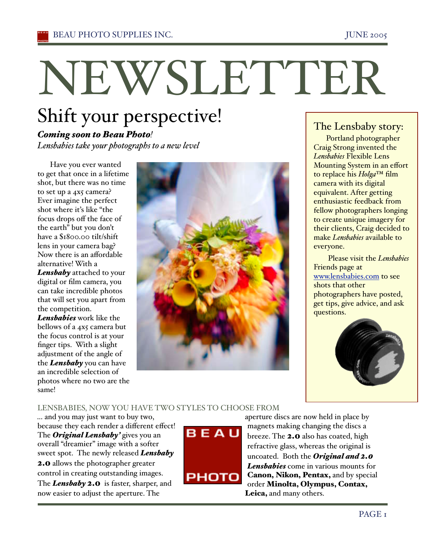# NEWSLETTER

# Shift your perspective!

# *Coming soon to Beau Photo!*

*Lensbabies take your photographs to a new level*

Have you ever wanted to get that once in a lifetime shot, but there was no time to set up a 4x5 camera? Ever imagine the perfect shot where it's like "the focus drops off the face of the earth" but you don't have a %1800.00 tilt/shift lens in your camera bag? Now there is an affordable alternative! With a *Lensbaby* attached to your digital or film camera, you can take incredible photos that will set you apart from the competition. *Lensbabies* work like the bellows of a 4x5 camera but the focus control is at your finger tips. With a slight adjustment of the angle of the *Lensbaby* you can have

an incredible selection of photos where no two are the same!



## The Lensbaby story:

Portland photographer Craig Strong invented the *Lensbabies* Flexible Lens Mounting System in an effort to replace his *Holga*™ film camera with its digital equivalent. After getting enthusiastic feedback from fellow photographers longing to create unique imagery for their clients, Craig decided to make *Lensbabies* available to everyone.

 Please visit the *Lensbabies* Friends page at www.lensbabies.com to see shots that other photographers have posted, get tips, give advice, and ask questions.



#### LENSBABIES, NOWYOU HAVE TWO STYLES TO CHOOSE FROM

... and you may just want to buy two, because they each render a different effect! The *Original Lensbaby!* gives you an overall "dreamier" image with a softer sweet spot. The newly released *Lensbaby*  2.0 allows the photographer greater control in creating outstanding images. The *Lensbaby* 2.0 is faster, sharper, and now easier to adjust the aperture. The



aperture discs are now held in place by magnets making changing the discs a breeze. The 2.0 also has coated, high refractive glass, whereas the original is uncoated. Both the *Original and 2.0 Lensbabies* come in various mounts for Canon, Nikon, Pentax, and by special order Minolta, Olympus, Contax, Leica, and many others.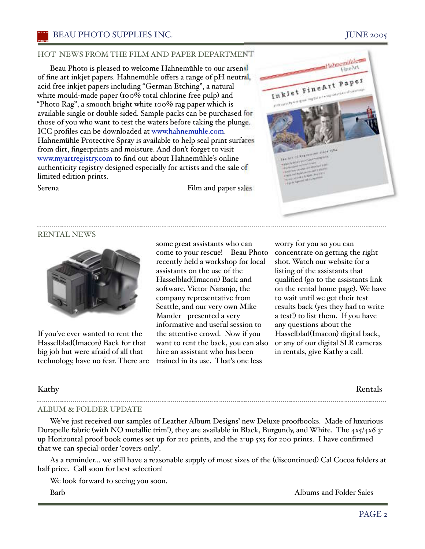#### HOT NEWS FROM THE FILM AND PAPER DEPARTMENT

Beau Photo is pleased to welcome Hahnemühle to our arsenal of fine art inkjet papers. Hahnemühle offers a range of pH neutral, acid free inkjet papers including "German Etching", a natural white mould-made paper ( $100\%$  total chlorine free pulp) and "Photo Rag", a smooth bright white 100% rag paper which is available single or double sided. Sample packs can be purchased for those of you who want to test the waters before taking the plunge. ICC profiles can be downloaded at www.hahnemuhle.com. Hahnemühle Protective Spray is available to help seal print surfaces from dirt, fingerprints and moisture. And don't forget to visit www.myartregistry.com to find out about Hahnemühle's online authenticity registry designed especially for artists and the sale of limited edition prints.

Serena Film and paper sales



# RENTAL NEWS



If you've ever wanted to rent the Hasselblad(Imacon) Back for that big job but were afraid of all that technology, have no fear. There are

some great assistants who can come to your rescue! Beau Photo recently held a workshop for local assistants on the use of the Hasselblad(Imacon) Back and software. Victor Naranjo, the company representative from Seattle, and our very own Mike Mander presented a very informative and useful session to the attentive crowd. Now if you want to rent the back, you can also hire an assistant who has been trained in its use. That's one less

worry for you so you can concentrate on getting the right shot. Watch our website for a listing of the assistants that qualified (go to the assistants link on the rental home page,. We have to wait until we get their test results back (yes they had to write a test!) to list them. If you have any questions about the Hasselblad(Imacon) digital back, or any of our digital SLR cameras in rentals, give Kathy a call.

Kathy Rentals

#### ALBUM & FOLDER UPDATE

We've just received our samples of Leather Album Designs' new Deluxe proofbooks. Made of luxurious Durapelle fabric (with NO metallic trim!), they are available in Black, Burgundy, and White. The 4x5/4x6 3up Horizontal proof book comes set up for 210 prints, and the 2-up  $\frac{1}{5}x5$  for 200 prints. I have confirmed that we can special-order 'covers only'.

As a reminder... we still have a reasonable supply of most sizes of the (discontinued) Cal Cocoa folders at half price. Call soon for best selection!

We look forward to seeing you soon.

Barb **Albums and Folder Sales**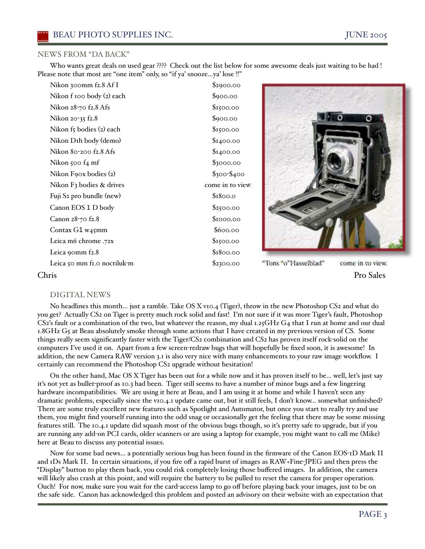#### NEWS FROM "DA BACK"

Who wants great deals on used gear ???? Check out the list below for some awesome deals just waiting to be had ! Please note that most are "one item" only, so "if ya' snooze...ya' lose !!"

| Nikon 300mm f2.8 Af I                | \$2900.00       |
|--------------------------------------|-----------------|
| Nikon f 100 body (2) each            | \$900.00        |
| Nikon 28-70 f2.8 Afs                 | \$1500.00       |
| Nikon 20-35 f2.8                     | \$900.00        |
| Nikon f5 bodies (2) each             | \$1500.00       |
| Nikon D <sub>I</sub> h body (demo)   | \$1400.00       |
| Nikon 80-200 f2.8 Afs                | \$1400.00       |
| Nikon 500 f4 mf                      | \$3000.00       |
| Nikon Foox bodies (2)                | $$300 - $400$   |
| Nikon F <sub>3</sub> bodies & drives | come in to view |
| Fuji S <sub>2</sub> pro bundle (new) | \$1800.0        |
| Canon EOS 1 D body                   | \$2500.00       |
| Canon 28-70 f2.8                     | \$1000.00       |
| Contax $G1$ w <sub>45</sub> mm       | \$600.00        |
| Leica m6 chrome .72x                 | \$1500.00       |
| Leica 90mm f2.8                      | \$1800.00       |
| Leica 50 mm fi.o noctiluk-m          | \$2300.00       |
|                                      |                 |



"Tons "o"Hasselblad" come in to view.

Chris Pro Sales

#### DIGITAL NEWS

No headlines this month... just a ramble. Take OS X v10.4 (Tiger), throw in the new Photoshop CS2 and what do you get? Actually CS2 on Tiger is pretty much rock solid and fast! I'm not sure if it was more Tiger's fault, Photoshop  $CS<sub>2</sub>'s$  fault or a combination of the two, but whatever the reason, my dual 1.25 GHz G4 that I run at home and our dual 1.8GHz G5 at Beau absolutely smoke through some actions that I have created in my previous version of CS. Some things really seem significantly faster with the Tiger/CS2 combination and CS2 has proven itself rock-solid on the computers I've used it on. Apart from a few screen-redraw bugs that will hopefully be fixed soon, it is awesome! In addition, the new Camera RAW version 3.1 is also very nice with many enhancements to your raw image workflow. I certainly can recommend the Photoshop CS2 upgrade without hesitation!

On the other hand, Mac OS X Tiger has been out for a while now and it has proven itself to be... well, let's just say it's not yet as bullet-proof as 10.3 had been. Tiger still seems to have a number of minor bugs and a few lingering hardware incompatibilities. We are using it here at Beau, and I am using it at home and while I haven't seen any dramatic problems, especially since the v10.4.1 update came out, but it still feels, I don't know... somewhat unfinished? There are some truly excellent new features such as Spotlight and Automator, but once you start to really try and use them, you might find yourself running into the odd snag or occasionally get the feeling that there may be some missing features still. The 10.4.1 update did squash most of the obvious bugs though, so it's pretty safe to upgrade, but if you are running any add-on PCI cards, older scanners or are using a laptop for example, you might want to call me (Mike) here at Beau to discuss any potential issues.

Now for some bad news... a potentially serious bug has been found in the firmware of the Canon EOS-1D Mark II and 1Ds Mark II. In certain situations, if you fire off a rapid burst of images as RAW+Fine-JPEG and then press the "Display" button to play them back, you could risk completely losing those buffered images. In addition, the camera will likely also crash at this point, and will require the battery to be pulled to reset the camera for proper operation. Ouch! For now, make sure you wait for the card-access lamp to go off before playing back your images, just to be on the safe side. Canon has acknowledged this problem and posted an advisory on their website with an expectation that